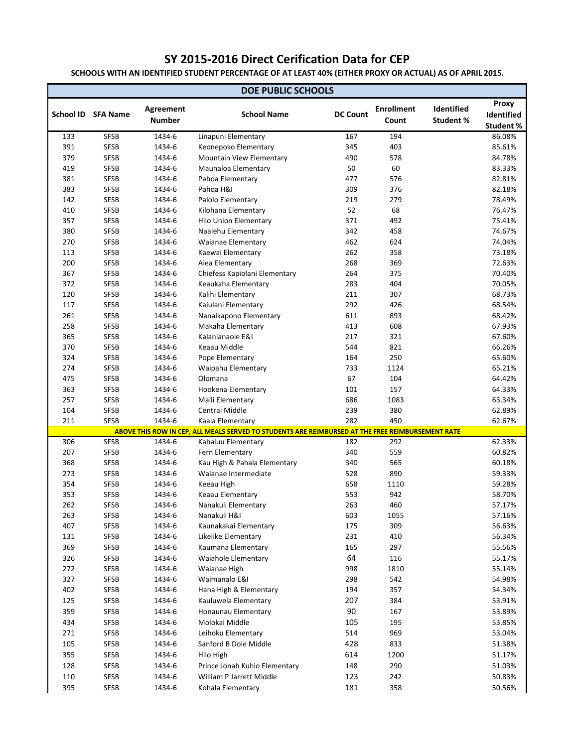## **SY 2015-2016 Direct Cerification Data for CEP**

**SCHOOLS WITH AN IDENTIFIED STUDENT PERCENTAGE OF AT LEAST 40% (EITHER PROXY OR ACTUAL) AS OF APRIL 2015.**

| <b>DOE PUBLIC SCHOOLS</b> |                     |                  |                                                                                                   |                 |                   |                  |                  |
|---------------------------|---------------------|------------------|---------------------------------------------------------------------------------------------------|-----------------|-------------------|------------------|------------------|
|                           |                     | <b>Agreement</b> |                                                                                                   |                 | <b>Enrollment</b> | Identified       | <b>Proxy</b>     |
| School ID                 | <b>SFA Name</b>     | <b>Number</b>    | <b>School Name</b>                                                                                | <b>DC Count</b> | Count             | <b>Student %</b> | Identified       |
|                           |                     |                  |                                                                                                   |                 |                   |                  | <b>Student %</b> |
| 133                       | <b>SFSB</b>         | 1434-6           | Linapuni Elementary                                                                               | 167             | 194               |                  | 86.08%           |
| 391                       | <b>SFSB</b>         | 1434-6           | Keonepoko Elementary                                                                              | 345             | 403               |                  | 85.61%           |
| 379                       | <b>SFSB</b>         | 1434-6           | <b>Mountain View Elementary</b>                                                                   | 490             | 578               |                  | 84.78%           |
| 419                       | <b>SFSB</b>         | 1434-6           | Maunaloa Elementary                                                                               | 50              | 60                |                  | 83.33%           |
| 381                       | <b>SFSB</b>         | 1434-6           | Pahoa Elementary                                                                                  | 477             | 576               |                  | 82.81%           |
| 383                       | <b>SFSB</b>         | 1434-6           | Pahoa H&I                                                                                         | 309             | 376               |                  | 82.18%           |
| 142                       | <b>SFSB</b>         | 1434-6           | Palolo Elementary                                                                                 | 219             | 279               |                  | 78.49%           |
| 410                       | <b>SFSB</b>         | 1434-6           | Kilohana Elementary                                                                               | 52              | 68                |                  | 76.47%           |
| 357                       | <b>SFSB</b>         | 1434-6           | <b>Hilo Union Elementary</b>                                                                      | 371             | 492               |                  | 75.41%           |
| 380                       | <b>SFSB</b>         | 1434-6           | Naalehu Elementary                                                                                | 342             | 458               |                  | 74.67%           |
| 270                       | <b>SFSB</b>         | 1434-6           | <b>Waianae Elementary</b>                                                                         | 462             | 624               |                  | 74.04%           |
| 113                       | <b>SFSB</b>         | 1434-6           | Kaewai Elementary                                                                                 | 262             | 358               |                  | 73.18%           |
| 200                       | <b>SFSB</b>         | 1434-6           | Aiea Elementary                                                                                   | 268             | 369               |                  | 72.63%           |
| 367                       | <b>SFSB</b>         | 1434-6           | Chiefess Kapiolani Elementary                                                                     | 264             | 375               |                  | 70.40%           |
| 372                       | <b>SFSB</b>         | 1434-6           | Keaukaha Elementary                                                                               | 283             | 404               |                  | 70.05%           |
| 120                       | <b>SFSB</b>         | 1434-6           | Kalihi Elementary                                                                                 | 211             | 307               |                  | 68.73%           |
| 117                       | <b>SFSB</b>         | 1434-6           | Kaiulani Elementary                                                                               | 292             | 426               |                  | 68.54%           |
| 261                       | <b>SFSB</b>         | 1434-6           | Nanaikapono Elementary                                                                            | 611             | 893               |                  | 68.42%           |
| 258                       | <b>SFSB</b>         | 1434-6           | Makaha Elementary                                                                                 | 413             | 608               |                  | 67.93%           |
| 365                       | <b>SFSB</b>         | 1434-6           | Kalanianaole E&I                                                                                  | 217             | 321               |                  | 67.60%           |
| 370                       | <b>SFSB</b>         | 1434-6           | Keaau Middle                                                                                      | 544             | 821               |                  | 66.26%           |
| 324                       | <b>SFSB</b>         | 1434-6           | Pope Elementary                                                                                   | 164             | 250               |                  | 65.60%           |
| 274                       | <b>SFSB</b>         | 1434-6           | Waipahu Elementary                                                                                | 733             | 1124              |                  | 65.21%           |
| 475                       | <b>SFSB</b>         | 1434-6           | Olomana                                                                                           | 67              | 104               |                  | 64.42%           |
| 363                       | <b>SFSB</b>         | 1434-6           | Hookena Elementary                                                                                | 101             | 157               |                  | 64.33%           |
| 257                       | <b>SFSB</b>         | 1434-6           | Maili Elementary<br><b>Central Middle</b>                                                         | 686             | 1083              |                  | 63.34%<br>62.89% |
| 104<br>211                | SFSB<br><b>SFSB</b> | 1434-6<br>1434-6 | Kaala Elementary                                                                                  | 239<br>282      | 380<br>450        |                  | 62.67%           |
|                           |                     |                  | ABOVE THIS ROW IN CEP, ALL MEALS SERVED TO STUDENTS ARE REIMBURSED AT THE FREE REIMBURSEMENT RATE |                 |                   |                  |                  |
| 306                       | <b>SFSB</b>         | 1434-6           | Kahaluu Elementary                                                                                | 182             | 292               |                  | 62.33%           |
| 207                       | <b>SFSB</b>         | 1434-6           | Fern Elementary                                                                                   | 340             | 559               |                  | 60.82%           |
| 368                       | <b>SFSB</b>         | 1434-6           | Kau High & Pahala Elementary                                                                      | 340             | 565               |                  | 60.18%           |
| 273                       | <b>SFSB</b>         | 1434-6           | Waianae Intermediate                                                                              | 528             | 890               |                  | 59.33%           |
| 354                       | <b>SFSB</b>         | 1434-6           | Keeau High                                                                                        | 658             | 1110              |                  | 59.28%           |
| 353                       | <b>SFSB</b>         | 1434-6           | Keaau Elementary                                                                                  | 553             | 942               |                  | 58.70%           |
| 262                       | <b>SFSB</b>         | 1434-6           | Nanakuli Elementary                                                                               | 263             | 460               |                  | 57.17%           |
| 263                       | <b>SFSB</b>         | 1434-6           | Nanakuli H&I                                                                                      | 603             | 1055              |                  | 57.16%           |
| 407                       | <b>SFSB</b>         | 1434-6           | Kaunakakai Elementary                                                                             | 175             | 309               |                  | 56.63%           |
| 131                       | <b>SFSB</b>         | 1434-6           | Likelike Elementary                                                                               | 231             | 410               |                  | 56.34%           |
| 369                       | <b>SFSB</b>         | 1434-6           | Kaumana Elementary                                                                                | 165             | 297               |                  | 55.56%           |
| 326                       | <b>SFSB</b>         | 1434-6           | <b>Waiahole Elementary</b>                                                                        | 64              | 116               |                  | 55.17%           |
| 272                       | <b>SFSB</b>         | 1434-6           | Waianae High                                                                                      | 998             | 1810              |                  | 55.14%           |
| 327                       | <b>SFSB</b>         | 1434-6           | Waimanalo E&I                                                                                     | 298             | 542               |                  | 54.98%           |
| 402                       | <b>SFSB</b>         | 1434-6           | Hana High & Elementary                                                                            | 194             | 357               |                  | 54.34%           |
| 125                       | <b>SFSB</b>         | 1434-6           | Kauluwela Elementary                                                                              | 207             | 384               |                  | 53.91%           |
| 359                       | <b>SFSB</b>         | 1434-6           | Honaunau Elementary                                                                               | 90              | 167               |                  | 53.89%           |
| 434                       | <b>SFSB</b>         | 1434-6           | Molokai Middle                                                                                    | 105             | 195               |                  | 53.85%           |
| 271                       | <b>SFSB</b>         | 1434-6           | Leihoku Elementary                                                                                | 514             | 969               |                  | 53.04%           |
| 105                       | <b>SFSB</b>         | 1434-6           | Sanford B Dole Middle                                                                             | 428             | 833               |                  | 51.38%           |
| 355                       | <b>SFSB</b>         | 1434-6           | Hilo High                                                                                         | 614             | 1200              |                  | 51.17%           |
| 128                       | <b>SFSB</b>         | 1434-6           | Prince Jonah Kuhio Elementary                                                                     | 148             | 290               |                  | 51.03%           |
| 110                       | <b>SFSB</b>         | 1434-6           | William P Jarrett Middle                                                                          | 123             | 242               |                  | 50.83%           |
| 395                       | <b>SFSB</b>         | 1434-6           | Kohala Elementary                                                                                 | 181             | 358               |                  | 50.56%           |
|                           |                     |                  |                                                                                                   |                 |                   |                  |                  |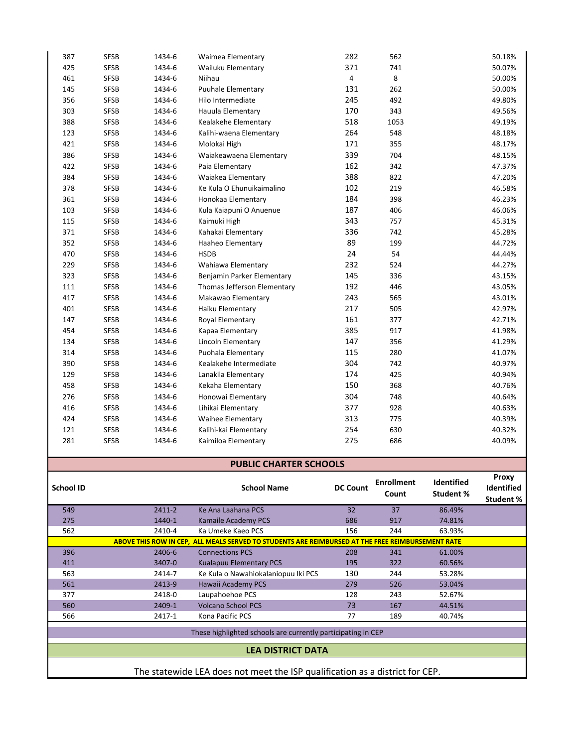|                  |             |        | These highlighted schools are currently participating in CEP                                      |                 |                            |                                       |                                                |
|------------------|-------------|--------|---------------------------------------------------------------------------------------------------|-----------------|----------------------------|---------------------------------------|------------------------------------------------|
| 566              |             | 2417-1 | Kona Pacific PCS                                                                                  | 77              | 189                        | 40.74%                                |                                                |
| 560              |             | 2409-1 | <b>Volcano School PCS</b>                                                                         | 73              | 167                        | 44.51%                                |                                                |
| 377              |             | 2418-0 | Laupahoehoe PCS                                                                                   | 128             | 243                        | 52.67%                                |                                                |
| 561              |             | 2413-9 | Hawaii Academy PCS                                                                                | 279             | 526                        | 53.04%                                |                                                |
| 563              |             | 2414-7 | Ke Kula o Nawahiokalaniopuu Iki PCS                                                               | 130             | 244                        | 53.28%                                |                                                |
| 411              |             | 3407-0 | <b>Kualapuu Elementary PCS</b>                                                                    | 195             | 322                        | 60.56%                                |                                                |
| 396              |             | 2406-6 | <b>Connections PCS</b>                                                                            | 208             | 341                        | 61.00%                                |                                                |
|                  |             |        | ABOVE THIS ROW IN CEP, ALL MEALS SERVED TO STUDENTS ARE REIMBURSED AT THE FREE REIMBURSEMENT RATE |                 |                            |                                       |                                                |
| 562              |             | 2410-4 | Ka Umeke Kaeo PCS                                                                                 | 156             | 244                        | 63.93%                                |                                                |
| 275              |             | 1440-1 | Kamaile Academy PCS                                                                               | 686             | 917                        | 74.81%                                |                                                |
| 549              |             | 2411-2 | Ke Ana Laahana PCS                                                                                | 32              | 37                         | 86.49%                                |                                                |
| <b>School ID</b> |             |        | <b>School Name</b>                                                                                | <b>DC Count</b> | <b>Enrollment</b><br>Count | <b>Identified</b><br><b>Student %</b> | <b>Proxy</b><br>Identified<br><b>Student %</b> |
|                  |             |        | <b>PUBLIC CHARTER SCHOOLS</b>                                                                     |                 |                            |                                       |                                                |
| 281              | <b>SFSB</b> | 1434-6 | Kaimiloa Elementary                                                                               | 275             | 686                        |                                       | 40.09%                                         |
| 121              | <b>SFSB</b> | 1434-6 | Kalihi-kai Elementary                                                                             | 254             | 630                        |                                       | 40.32%                                         |
| 424              | <b>SFSB</b> | 1434-6 | <b>Waihee Elementary</b>                                                                          | 313             | 775                        |                                       | 40.39%                                         |
| 416              | <b>SFSB</b> | 1434-6 | Lihikai Elementary                                                                                | 377             | 928                        |                                       | 40.63%                                         |
| 276              | <b>SFSB</b> | 1434-6 | Honowai Elementary                                                                                | 304             | 748                        |                                       | 40.64%                                         |
| 458              |             |        | Kekaha Elementary                                                                                 | 150             | 368                        |                                       | 40.76%                                         |
|                  | <b>SFSB</b> | 1434-6 |                                                                                                   |                 |                            |                                       |                                                |
| 129              | <b>SFSB</b> | 1434-6 | Lanakila Elementary                                                                               | 174             | 425                        |                                       | 40.94%                                         |
| 390              | <b>SFSB</b> | 1434-6 | Kealakehe Intermediate                                                                            | 304             | 742                        |                                       | 40.97%                                         |
| 314              | <b>SFSB</b> | 1434-6 | Puohala Elementary                                                                                | 115             | 280                        |                                       | 41.07%                                         |
| 134              | <b>SFSB</b> | 1434-6 | Lincoln Elementary                                                                                | 147             | 356                        |                                       | 41.29%                                         |
| 454              | <b>SFSB</b> | 1434-6 | Kapaa Elementary                                                                                  | 385             | 917                        |                                       | 41.98%                                         |
| 147              | <b>SFSB</b> | 1434-6 | Royal Elementary                                                                                  | 161             | 377                        |                                       | 42.71%                                         |
| 401              | <b>SFSB</b> | 1434-6 | Haiku Elementary                                                                                  | 217             | 505                        |                                       | 42.97%                                         |
| 417              | <b>SFSB</b> | 1434-6 | Makawao Elementary                                                                                | 243             | 565                        |                                       | 43.01%                                         |
| 111              | <b>SFSB</b> | 1434-6 | Thomas Jefferson Elementary                                                                       | 192             | 446                        |                                       | 43.05%                                         |
| 323              | <b>SFSB</b> | 1434-6 | Benjamin Parker Elementary                                                                        | 145             | 336                        |                                       | 43.15%                                         |
| 229              | <b>SFSB</b> | 1434-6 | Wahiawa Elementary                                                                                | 232             | 524                        |                                       | 44.27%                                         |
| 470              | <b>SFSB</b> | 1434-6 | <b>HSDB</b>                                                                                       | 24              | 54                         |                                       | 44.44%                                         |
| 352              | <b>SFSB</b> | 1434-6 | Haaheo Elementary                                                                                 | 89              | 199                        |                                       | 44.72%                                         |
| 371              | <b>SFSB</b> | 1434-6 | Kahakai Elementary                                                                                | 336             | 742                        |                                       | 45.28%                                         |
| 115              | <b>SFSB</b> | 1434-6 | Kaimuki High                                                                                      | 343             | 757                        |                                       | 45.31%                                         |
| 103              | <b>SFSB</b> | 1434-6 | Kula Kaiapuni O Anuenue                                                                           | 187             | 406                        |                                       | 46.06%                                         |
| 361              | <b>SFSB</b> | 1434-6 | Honokaa Elementary                                                                                | 184             | 398                        |                                       | 46.23%                                         |
| 378              | <b>SFSB</b> | 1434-6 | Ke Kula O Ehunuikaimalino                                                                         | 102             | 219                        |                                       | 46.58%                                         |
| 384              | <b>SFSB</b> | 1434-6 | Waiakea Elementary                                                                                | 388             | 822                        |                                       | 47.20%                                         |
| 422              | <b>SFSB</b> | 1434-6 | Paia Elementary                                                                                   | 162             | 342                        |                                       | 47.37%                                         |
| 386              | <b>SFSB</b> | 1434-6 | Waiakeawaena Elementary                                                                           | 339             | 704                        |                                       | 48.15%                                         |
| 421              | <b>SFSB</b> | 1434-6 | Molokai High                                                                                      | 171             | 355                        |                                       | 48.17%                                         |
| 123              | <b>SFSB</b> | 1434-6 | Kalihi-waena Elementary                                                                           | 264             | 548                        |                                       | 48.18%                                         |
| 388              | <b>SFSB</b> | 1434-6 | Kealakehe Elementary                                                                              | 518             | 1053                       |                                       | 49.19%                                         |
| 303              | <b>SFSB</b> | 1434-6 | Hauula Elementary                                                                                 | 170             | 343                        |                                       | 49.56%                                         |
| 356              | <b>SFSB</b> | 1434-6 | Hilo Intermediate                                                                                 | 245             | 492                        |                                       | 49.80%                                         |
| 145              | <b>SFSB</b> | 1434-6 | <b>Puuhale Elementary</b>                                                                         | 131             | 262                        |                                       | 50.00%                                         |
| 461              | <b>SFSB</b> | 1434-6 | Niihau                                                                                            | 4               | 8                          |                                       | 50.00%                                         |
| 425              | <b>SFSB</b> | 1434-6 | Wailuku Elementary                                                                                | 371             | 741                        |                                       | 50.07%                                         |
| 387              | <b>SFSB</b> | 1434-6 | Waimea Elementary                                                                                 | 282             | 562                        |                                       | 50.18%                                         |
|                  |             |        |                                                                                                   |                 |                            |                                       |                                                |

**LEA DISTRICT DATA**

The statewide LEA does not meet the ISP qualification as a district for CEP.